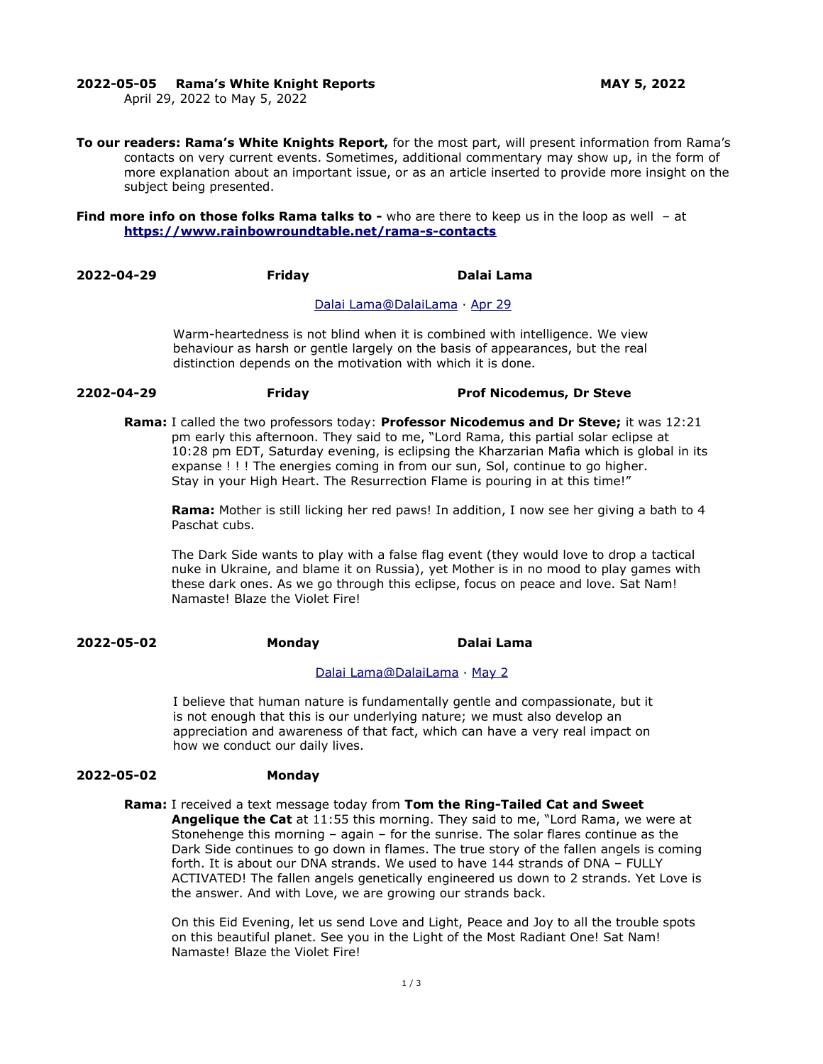#### **2022-05-05 Rama's White Knight Reports MAY 5, 2022**

April 29, 2022 to May 5, 2022

**To our readers: Rama's White Knights Report,** for the most part, will present information from Rama's contacts on very current events. Sometimes, additional commentary may show up, in the form of more explanation about an important issue, or as an article inserted to provide more insight on the subject being presented.

**Find more info on those folks Rama talks to -** who are there to keep us in the loop as well - at **<https://www.rainbowroundtable.net/rama-s-contacts>**

**2022-04-29 Friday Dalai Lama**

#### Dalai Lama@DalaiLama · [Apr 29](https://twitter.com/DalaiLama/status/1519977166859309056)

Warm-heartedness is not blind when it is combined with intelligence. We view behaviour as harsh or gentle largely on the basis of appearances, but the real distinction depends on the motivation with which it is done.

**2202-04-29 Friday Prof Nicodemus, Dr Steve**

**Rama:** I called the two professors today: **Professor Nicodemus and Dr Steve;** it was 12:21 pm early this afternoon. They said to me, "Lord Rama, this partial solar eclipse at 10:28 pm EDT, Saturday evening, is eclipsing the Kharzarian Mafia which is global in its expanse ! ! ! The energies coming in from our sun, Sol, continue to go higher. Stay in your High Heart. The Resurrection Flame is pouring in at this time!"

**Rama:** Mother is still licking her red paws! In addition, I now see her giving a bath to 4 Paschat cubs.

The Dark Side wants to play with a false flag event (they would love to drop a tactical nuke in Ukraine, and blame it on Russia), yet Mother is in no mood to play games with these dark ones. As we go through this eclipse, focus on peace and love. Sat Nam! Namaste! Blaze the Violet Fire!

# **2022-05-02 Monday Dalai Lama**

### [Dalai Lama @DalaiLama](https://twitter.com/DalaiLama) · [May 2](https://twitter.com/DalaiLama/status/1521059443278229505)

I believe that human nature is fundamentally gentle and compassionate, but it is not enough that this is our underlying nature; we must also develop an appreciation and awareness of that fact, which can have a very real impact on how we conduct our daily lives.

#### **2022-05-02 Monday**

**Rama:** I received a text message today from **Tom the Ring-Tailed Cat and Sweet** 

**Angelique the Cat** at 11:55 this morning. They said to me, "Lord Rama, we were at Stonehenge this morning – again – for the sunrise. The solar flares continue as the Dark Side continues to go down in flames. The true story of the fallen angels is coming forth. It is about our DNA strands. We used to have 144 strands of DNA – FULLY ACTIVATED! The fallen angels genetically engineered us down to 2 strands. Yet Love is the answer. And with Love, we are growing our strands back.

On this Eid Evening, let us send Love and Light, Peace and Joy to all the trouble spots on this beautiful planet. See you in the Light of the Most Radiant One! Sat Nam! Namaste! Blaze the Violet Fire!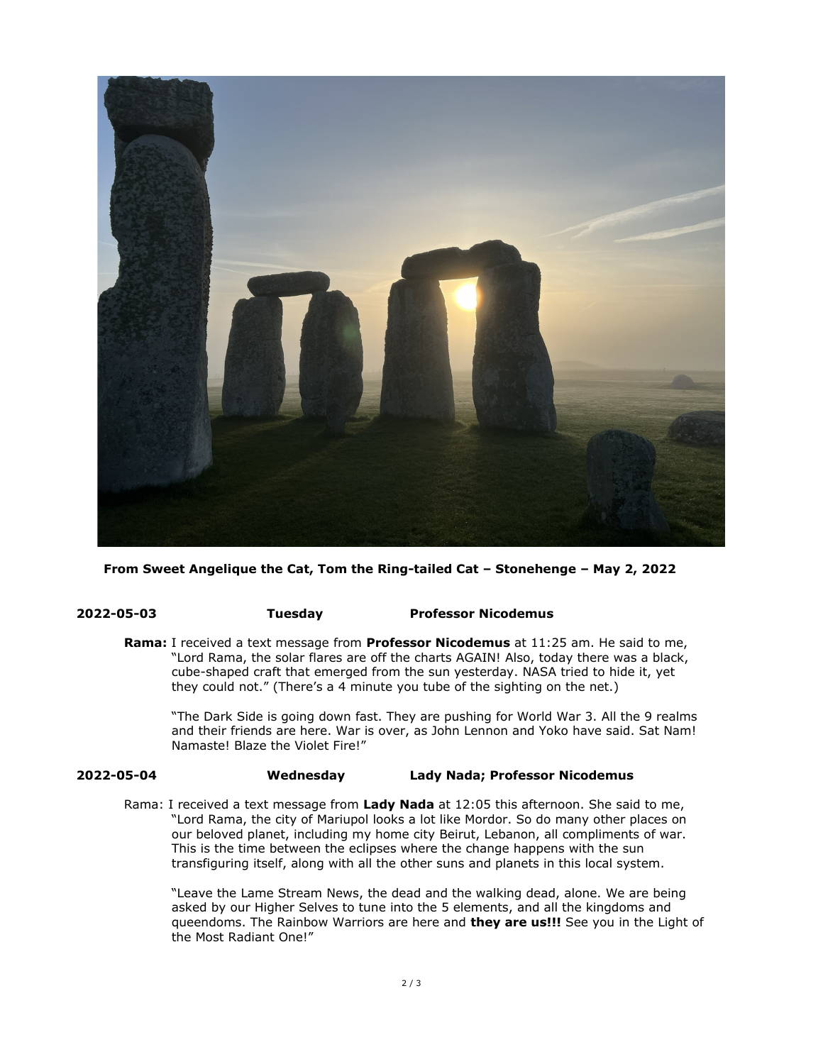

**From Sweet Angelique the Cat, Tom the Ring-tailed Cat – Stonehenge – May 2, 2022**

### **2022-05-03 Tuesday Professor Nicodemus**

**Rama:** I received a text message from **Professor Nicodemus** at 11:25 am. He said to me, "Lord Rama, the solar flares are off the charts AGAIN! Also, today there was a black, cube-shaped craft that emerged from the sun yesterday. NASA tried to hide it, yet they could not." (There's a 4 minute you tube of the sighting on the net.)

"The Dark Side is going down fast. They are pushing for World War 3. All the 9 realms and their friends are here. War is over, as John Lennon and Yoko have said. Sat Nam! Namaste! Blaze the Violet Fire!"

# **2022-05-04 Wednesday Lady Nada; Professor Nicodemus**

Rama: I received a text message from **Lady Nada** at 12:05 this afternoon. She said to me, "Lord Rama, the city of Mariupol looks a lot like Mordor. So do many other places on our beloved planet, including my home city Beirut, Lebanon, all compliments of war. This is the time between the eclipses where the change happens with the sun transfiguring itself, along with all the other suns and planets in this local system.

"Leave the Lame Stream News, the dead and the walking dead, alone. We are being asked by our Higher Selves to tune into the 5 elements, and all the kingdoms and queendoms. The Rainbow Warriors are here and **they are us!!!** See you in the Light of the Most Radiant One!"